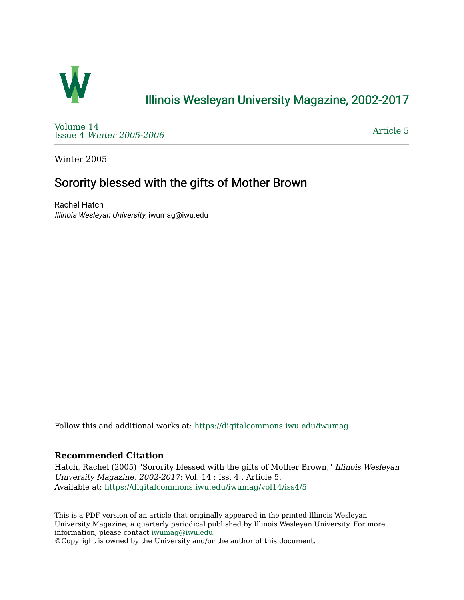

# [Illinois Wesleyan University Magazine, 2002-2017](https://digitalcommons.iwu.edu/iwumag)

[Volume 14](https://digitalcommons.iwu.edu/iwumag/vol14)  Issue 4 [Winter 2005-2006](https://digitalcommons.iwu.edu/iwumag/vol14/iss4)

[Article 5](https://digitalcommons.iwu.edu/iwumag/vol14/iss4/5) 

Winter 2005

## Sorority blessed with the gifts of Mother Brown

Rachel Hatch Illinois Wesleyan University, iwumag@iwu.edu

Follow this and additional works at: [https://digitalcommons.iwu.edu/iwumag](https://digitalcommons.iwu.edu/iwumag?utm_source=digitalcommons.iwu.edu%2Fiwumag%2Fvol14%2Fiss4%2F5&utm_medium=PDF&utm_campaign=PDFCoverPages) 

#### **Recommended Citation**

Hatch, Rachel (2005) "Sorority blessed with the gifts of Mother Brown," Illinois Wesleyan University Magazine, 2002-2017: Vol. 14 : Iss. 4 , Article 5. Available at: [https://digitalcommons.iwu.edu/iwumag/vol14/iss4/5](https://digitalcommons.iwu.edu/iwumag/vol14/iss4/5?utm_source=digitalcommons.iwu.edu%2Fiwumag%2Fvol14%2Fiss4%2F5&utm_medium=PDF&utm_campaign=PDFCoverPages)

This is a PDF version of an article that originally appeared in the printed Illinois Wesleyan University Magazine, a quarterly periodical published by Illinois Wesleyan University. For more information, please contact [iwumag@iwu.edu](mailto:iwumag@iwu.edu).

©Copyright is owned by the University and/or the author of this document.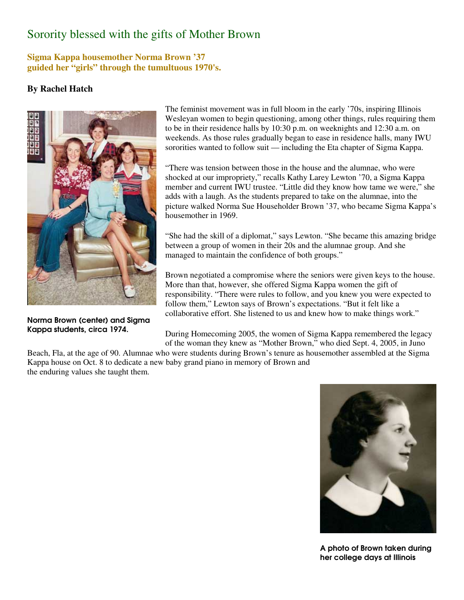## Sorority blessed with the gifts of Mother Brown

### **Sigma Kappa housemother Norma Brown '37 guided her "girls" through the tumultuous 1970's.**

### **By Rachel Hatch**



Norma Brown (center) and Sigma Kappa students, circa 1974.

The feminist movement was in full bloom in the early '70s, inspiring Illinois Wesleyan women to begin questioning, among other things, rules requiring them to be in their residence halls by 10:30 p.m. on weeknights and 12:30 a.m. on weekends. As those rules gradually began to ease in residence halls, many IWU sororities wanted to follow suit — including the Eta chapter of Sigma Kappa.

"There was tension between those in the house and the alumnae, who were shocked at our impropriety," recalls Kathy Larey Lewton '70, a Sigma Kappa member and current IWU trustee. "Little did they know how tame we were," she adds with a laugh. As the students prepared to take on the alumnae, into the picture walked Norma Sue Householder Brown '37, who became Sigma Kappa's housemother in 1969.

"She had the skill of a diplomat," says Lewton. "She became this amazing bridge between a group of women in their 20s and the alumnae group. And she managed to maintain the confidence of both groups."

Brown negotiated a compromise where the seniors were given keys to the house. More than that, however, she offered Sigma Kappa women the gift of responsibility. "There were rules to follow, and you knew you were expected to follow them," Lewton says of Brown's expectations. "But it felt like a collaborative effort. She listened to us and knew how to make things work."

During Homecoming 2005, the women of Sigma Kappa remembered the legacy of the woman they knew as "Mother Brown," who died Sept. 4, 2005, in Juno

Beach, Fla, at the age of 90. Alumnae who were students during Brown's tenure as housemother assembled at the Sigma Kappa house on Oct. 8 to dedicate a new baby grand piano in memory of Brown and the enduring values she taught them.



A photo of Brown taken during her college days at Illinois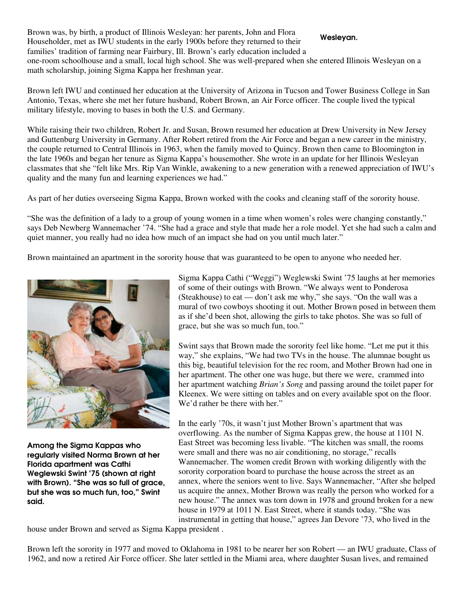Brown was, by birth, a product of Illinois Wesleyan: her parents, John and Flora Householder, met as IWU students in the early 1900s before they returned to their families' tradition of farming near Fairbury, Ill. Brown's early education included a one-room schoolhouse and a small, local high school. She was well-prepared when she entered Illinois Wesleyan on a math scholarship, joining Sigma Kappa her freshman year. Wesleyan.

Brown left IWU and continued her education at the University of Arizona in Tucson and Tower Business College in San Antonio, Texas, where she met her future husband, Robert Brown, an Air Force officer. The couple lived the typical military lifestyle, moving to bases in both the U.S. and Germany.

While raising their two children, Robert Jr. and Susan, Brown resumed her education at Drew University in New Jersey and Guttenburg University in Germany. After Robert retired from the Air Force and began a new career in the ministry, the couple returned to Central Illinois in 1963, when the family moved to Quincy. Brown then came to Bloomington in the late 1960s and began her tenure as Sigma Kappa's housemother. She wrote in an update for her Illinois Wesleyan classmates that she "felt like Mrs. Rip Van Winkle, awakening to a new generation with a renewed appreciation of IWU's quality and the many fun and learning experiences we had."

As part of her duties overseeing Sigma Kappa, Brown worked with the cooks and cleaning staff of the sorority house.

"She was the definition of a lady to a group of young women in a time when women's roles were changing constantly," says Deb Newberg Wannemacher '74. "She had a grace and style that made her a role model. Yet she had such a calm and quiet manner, you really had no idea how much of an impact she had on you until much later."

Brown maintained an apartment in the sorority house that was guaranteed to be open to anyone who needed her.



Among the Sigma Kappas who regularly visited Norma Brown at her Florida apartment was Cathi Weglewski Swint '75 (shown at right with Brown). "She was so full of grace, but she was so much fun, too," Swint said.

Sigma Kappa Cathi ("Weggi") Weglewski Swint '75 laughs at her memories of some of their outings with Brown. "We always went to Ponderosa (Steakhouse) to eat — don't ask me why," she says. "On the wall was a mural of two cowboys shooting it out. Mother Brown posed in between them as if she'd been shot, allowing the girls to take photos. She was so full of grace, but she was so much fun, too."

Swint says that Brown made the sorority feel like home. "Let me put it this way," she explains, "We had two TVs in the house. The alumnae bought us this big, beautiful television for the rec room, and Mother Brown had one in her apartment. The other one was huge, but there we were, crammed into her apartment watching *Brian's Song* and passing around the toilet paper for Kleenex. We were sitting on tables and on every available spot on the floor. We'd rather be there with her."

In the early '70s, it wasn't just Mother Brown's apartment that was overflowing. As the number of Sigma Kappas grew, the house at 1101 N. East Street was becoming less livable. "The kitchen was small, the rooms were small and there was no air conditioning, no storage," recalls Wannemacher. The women credit Brown with working diligently with the sorority corporation board to purchase the house across the street as an annex, where the seniors went to live. Says Wannemacher, "After she helped us acquire the annex, Mother Brown was really the person who worked for a new house." The annex was torn down in 1978 and ground broken for a new house in 1979 at 1011 N. East Street, where it stands today. "She was instrumental in getting that house," agrees Jan Devore '73, who lived in the

house under Brown and served as Sigma Kappa president .

Brown left the sorority in 1977 and moved to Oklahoma in 1981 to be nearer her son Robert — an IWU graduate, Class of 1962, and now a retired Air Force officer. She later settled in the Miami area, where daughter Susan lives, and remained